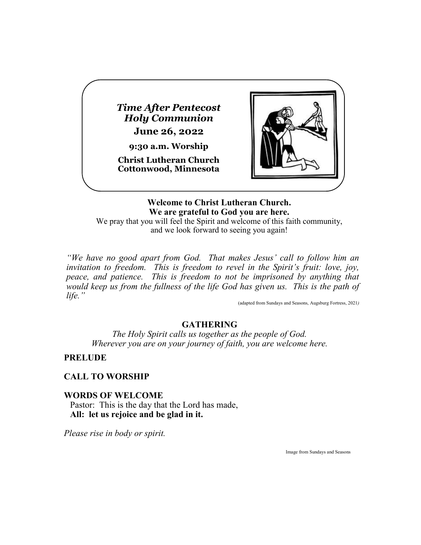*Time After Pentecost Holy Communion* **June 26, 2022**

**9:30 a.m. Worship**

**Christ Lutheran Church Cottonwood, Minnesota**



**Welcome to Christ Lutheran Church. We are grateful to God you are here.**

We pray that you will feel the Spirit and welcome of this faith community, and we look forward to seeing you again!

*"We have no good apart from God. That makes Jesus' call to follow him an*  invitation to freedom. This is freedom to revel in the Spirit's fruit: love, joy, *peace, and patience. This is freedom to not be imprisoned by anything that would keep us from the fullness of the life God has given us. This is the path of life."*

(adapted from Sundays and Seasons, Augsburg Fortress, 2021*)*

### **GATHERING**

*The Holy Spirit calls us together as the people of God. Wherever you are on your journey of faith, you are welcome here.*

### **PRELUDE**

# **CALL TO WORSHIP**

### **WORDS OF WELCOME**

Pastor: This is the day that the Lord has made, **All: let us rejoice and be glad in it.**

*Please rise in body or spirit.*

Image from Sundays and Seasons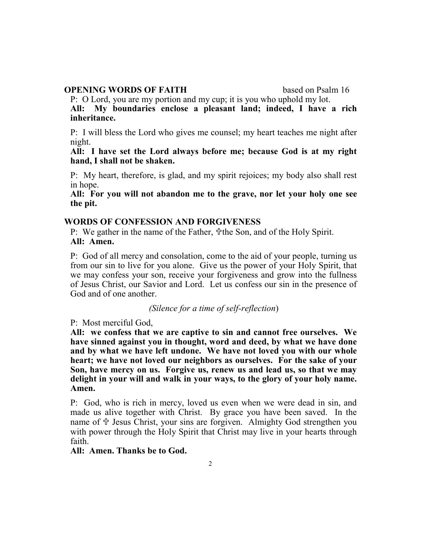#### **OPENING WORDS OF FAITH** based on Psalm 16

P: O Lord, you are my portion and my cup; it is you who uphold my lot. **All: My boundaries enclose a pleasant land; indeed, I have a rich inheritance.**

P: I will bless the Lord who gives me counsel; my heart teaches me night after night.

**All: I have set the Lord always before me; because God is at my right hand, I shall not be shaken.**

P: My heart, therefore, is glad, and my spirit rejoices; my body also shall rest in hope.

**All: For you will not abandon me to the grave, nor let your holy one see the pit.**

#### **WORDS OF CONFESSION AND FORGIVENESS**

P: We gather in the name of the Father,  $\mathcal{F}$ the Son, and of the Holy Spirit. **All: Amen.**

P: God of all mercy and consolation, come to the aid of your people, turning us from our sin to live for you alone. Give us the power of your Holy Spirit, that we may confess your son, receive your forgiveness and grow into the fullness of Jesus Christ, our Savior and Lord. Let us confess our sin in the presence of God and of one another.

*(Silence for a time of self-reflection*)

P: Most merciful God,

**All: we confess that we are captive to sin and cannot free ourselves. We have sinned against you in thought, word and deed, by what we have done and by what we have left undone. We have not loved you with our whole heart; we have not loved our neighbors as ourselves. For the sake of your Son, have mercy on us. Forgive us, renew us and lead us, so that we may delight in your will and walk in your ways, to the glory of your holy name. Amen.**

P: God, who is rich in mercy, loved us even when we were dead in sin, and made us alive together with Christ. By grace you have been saved. In the name of  $\hat{\tau}$  Jesus Christ, your sins are forgiven. Almighty God strengthen you with power through the Holy Spirit that Christ may live in your hearts through faith.

**All: Amen. Thanks be to God.**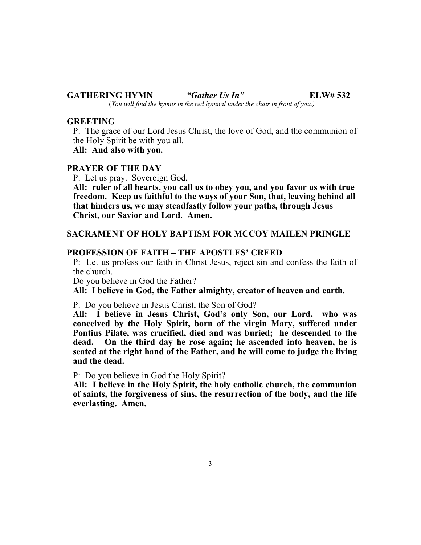#### **GATHERING HYMN** *"Gather Us In"* **ELW# 532** (*You will find the hymns in the red hymnal under the chair in front of you.)*

**GREETING**

P: The grace of our Lord Jesus Christ, the love of God, and the communion of the Holy Spirit be with you all.

**All: And also with you.**

#### **PRAYER OF THE DAY**

P: Let us pray. Sovereign God,

**All: ruler of all hearts, you call us to obey you, and you favor us with true freedom. Keep us faithful to the ways of your Son, that, leaving behind all that hinders us, we may steadfastly follow your paths, through Jesus Christ, our Savior and Lord. Amen.**

#### **SACRAMENT OF HOLY BAPTISM FOR MCCOY MAILEN PRINGLE**

#### **PROFESSION OF FAITH – THE APOSTLES' CREED**

P: Let us profess our faith in Christ Jesus, reject sin and confess the faith of the church.

Do you believe in God the Father?

**All: I believe in God, the Father almighty, creator of heaven and earth.**

P: Do you believe in Jesus Christ, the Son of God?

**All: I believe in Jesus Christ, God's only Son, our Lord, who was conceived by the Holy Spirit, born of the virgin Mary, suffered under Pontius Pilate, was crucified, died and was buried; he descended to the dead. On the third day he rose again; he ascended into heaven, he is seated at the right hand of the Father, and he will come to judge the living and the dead.**

P: Do you believe in God the Holy Spirit?

**All: I believe in the Holy Spirit, the holy catholic church, the communion of saints, the forgiveness of sins, the resurrection of the body, and the life everlasting. Amen.**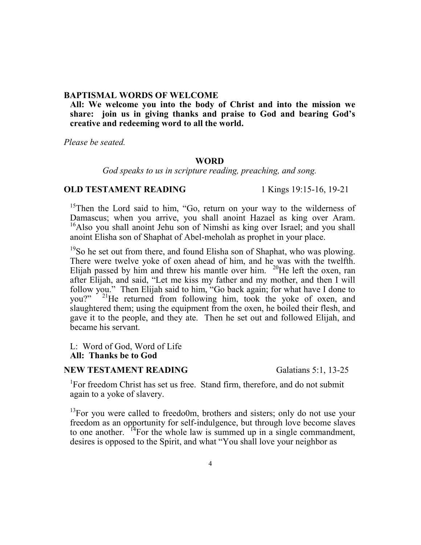#### **BAPTISMAL WORDS OF WELCOME**

**All: We welcome you into the body of Christ and into the mission we share: join us in giving thanks and praise to God and bearing God's creative and redeeming word to all the world.**

*Please be seated.*

#### **WORD**

*God speaks to us in scripture reading, preaching, and song.*

#### **OLD TESTAMENT READING** 1 Kings 19:15-16, 19-21

<sup>15</sup>Then the Lord said to him, "Go, return on your way to the wilderness of Damascus; when you arrive, you shall anoint Hazael as king over Aram. <sup>16</sup>Also you shall anoint Jehu son of Nimshi as king over Israel; and you shall anoint Elisha son of Shaphat of Abel-meholah as prophet in your place.

 $19$ So he set out from there, and found Elisha son of Shaphat, who was plowing. There were twelve yoke of oxen ahead of him, and he was with the twelfth. Elijah passed by him and threw his mantle over him.  $^{20}$ He left the oxen, ran after Elijah, and said, "Let me kiss my father and my mother, and then I will follow you." Then Elijah said to him, "Go back again; for what have I done to you?" <sup>21</sup>He returned from following him, took the yoke of oxen, and slaughtered them; using the equipment from the oxen, he boiled their flesh, and gave it to the people, and they ate. Then he set out and followed Elijah, and became his servant.

L: Word of God, Word of Life **All: Thanks be to God**

### **NEW TESTAMENT READING** Galatians 5:1, 13-25

<sup>1</sup>For freedom Christ has set us free. Stand firm, therefore, and do not submit again to a yoke of slavery.

 $13$ For you were called to freedo0m, brothers and sisters; only do not use your freedom as an opportunity for self-indulgence, but through love become slaves to one another.  $14$  For the whole law is summed up in a single commandment, desires is opposed to the Spirit, and what "You shall love your neighbor as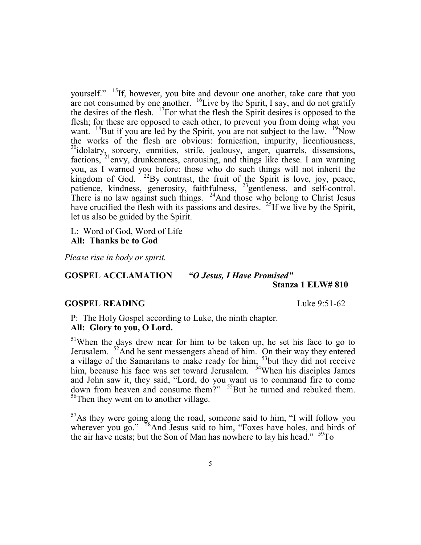yourself." <sup>15</sup>If, however, you bite and devour one another, take care that you are not consumed by one another.  $^{16}$ Live by the Spirit, I say, and do not gratify the desires of the flesh. <sup>17</sup>For what the flesh the Spirit desires is opposed to the flesh; for these are opposed to each other, to prevent you from doing what you want. <sup>18</sup>But if you are led by the Spirit, you are not subject to the law. <sup>19</sup>Now the works of the flesh are obvious: fornication, impurity, licentiousness, <sup>20</sup>idolatry, sorcery, enmities, strife, jealousy, anger, quarrels, dissensions, factions, <sup>21</sup>envy, drunkenness, carousing, and things like these. I am warning you, as I warned you before: those who do such things will not inherit the kingdom of God.  $22$ By contrast, the fruit of the Spirit is love, joy, peace, patience, kindness, generosity, faithfulness, <sup>23</sup>gentleness, and self-control. There is no law against such things.  $24$ And those who belong to Christ Jesus have crucified the flesh with its passions and desires. <sup>25</sup>If we live by the Spirit, let us also be guided by the Spirit.

L: Word of God, Word of Life **All: Thanks be to God**

*Please rise in body or spirit.*

**GOSPEL ACCLAMATION** *"O Jesus, I Have Promised"*

# **Stanza 1 ELW# 810**

#### **GOSPEL READING** Luke 9:51-62

P: The Holy Gospel according to Luke, the ninth chapter. **All: Glory to you, O Lord.**

<sup>51</sup>When the days drew near for him to be taken up, he set his face to go to Jerusalem. <sup>52</sup>And he sent messengers ahead of him. On their way they entered a village of the Samaritans to make ready for him; <sup>53</sup>but they did not receive him, because his face was set toward Jerusalem.  $54$ When his disciples James and John saw it, they said, "Lord, do you want us to command fire to come down from heaven and consume them?" <sup>55</sup>But he turned and rebuked them. <sup>56</sup>Then they went on to another village.

 $57$ As they were going along the road, someone said to him, "I will follow you wherever you go."  $58$ And Jesus said to him, "Foxes have holes, and birds of the air have nests; but the Son of Man has nowhere to lay his head."  $59^{\circ}$ To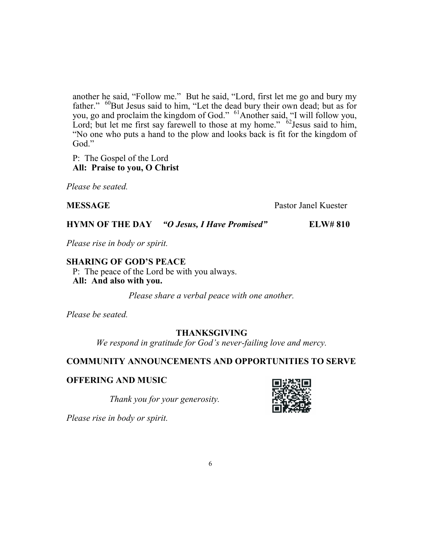another he said, "Follow me." But he said, "Lord, first let me go and bury my father." <sup>60</sup>But Jesus said to him, "Let the dead bury their own dead; but as for you, go and proclaim the kingdom of God." <sup>61</sup>Another said, "I will follow you, Lord; but let me first say farewell to those at my home."  $62$  Jesus said to him, "No one who puts a hand to the plow and looks back is fit for the kingdom of God."

P: The Gospel of the Lord **All: Praise to you, O Christ**

*Please be seated.*

**MESSAGE** Pastor Janel Kuester

**HYMN OF THE DAY** *"O Jesus, I Have Promised"* **ELW# 810**

*Please rise in body or spirit.*

**SHARING OF GOD'S PEACE** P: The peace of the Lord be with you always. **All: And also with you.**

*Please share a verbal peace with one another.*

*Please be seated.*

# **THANKSGIVING**

*We respond in gratitude for God's never-failing love and mercy.*

# **COMMUNITY ANNOUNCEMENTS AND OPPORTUNITIES TO SERVE**

# **OFFERING AND MUSIC**

*Thank you for your generosity.*



*Please rise in body or spirit.*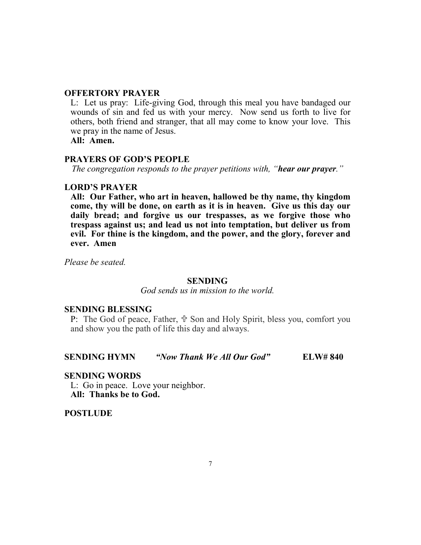#### **OFFERTORY PRAYER**

L: Let us pray: Life-giving God, through this meal you have bandaged our wounds of sin and fed us with your mercy. Now send us forth to live for others, both friend and stranger, that all may come to know your love. This we pray in the name of Jesus.

**All: Amen.**

### **PRAYERS OF GOD'S PEOPLE**

*The congregation responds to the prayer petitions with, "hear our prayer."*

#### **LORD'S PRAYER**

**All: Our Father, who art in heaven, hallowed be thy name, thy kingdom come, thy will be done, on earth as it is in heaven. Give us this day our daily bread; and forgive us our trespasses, as we forgive those who trespass against us; and lead us not into temptation, but deliver us from evil. For thine is the kingdom, and the power, and the glory, forever and ever. Amen**

*Please be seated.*

#### **SENDING**

*God sends us in mission to the world.*

#### **SENDING BLESSING**

P: The God of peace, Father,  $\Phi$  Son and Holy Spirit, bless you, comfort you and show you the path of life this day and always.

#### **SENDING HYMN** *"Now Thank We All Our God"* **ELW# 840**

#### **SENDING WORDS**

L: Go in peace. Love your neighbor. **All: Thanks be to God.**

**POSTLUDE**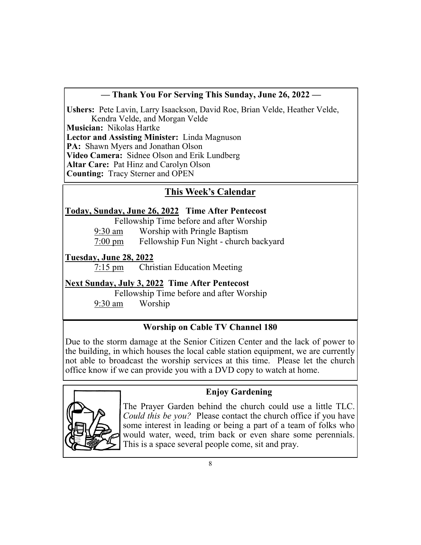# **— Thank You For Serving This Sunday, June 26, 2022 —**

**Ushers:** Pete Lavin, Larry Isaackson, David Roe, Brian Velde, Heather Velde, Kendra Velde, and Morgan Velde

**Musician:** Nikolas Hartke

**Lector and Assisting Minister:** Linda Magnuson

**PA:** Shawn Myers and Jonathan Olson

**Video Camera:** Sidnee Olson and Erik Lundberg

**Altar Care:** Pat Hinz and Carolyn Olson

**Counting:** Tracy Sterner and OPEN

# **This Week's Calendar**

# **Today, Sunday, June 26, 2022 Time After Pentecost**

Fellowship Time before and after Worship

9:30 am Worship with Pringle Baptism

7:00 pm Fellowship Fun Night - church backyard

# **Tuesday, June 28, 2022**

7:15 pm Christian Education Meeting

# **Next Sunday, July 3, 2022 Time After Pentecost**

Fellowship Time before and after Worship

9:30 am Worship

# **Worship on Cable TV Channel 180**

Due to the storm damage at the Senior Citizen Center and the lack of power to the building, in which houses the local cable station equipment, we are currently not able to broadcast the worship services at this time. Please let the church office know if we can provide you with a DVD copy to watch at home.



# **Enjoy Gardening**

The Prayer Garden behind the church could use a little TLC. *Could this be you?* Please contact the church office if you have some interest in leading or being a part of a team of folks who would water, weed, trim back or even share some perennials. This is a space several people come, sit and pray.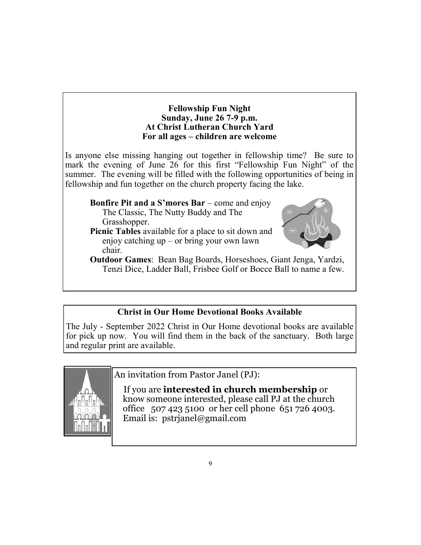### **Fellowship Fun Night Sunday, June 26 7-9 p.m. At Christ Lutheran Church Yard For all ages – children are welcome**

Is anyone else missing hanging out together in fellowship time? Be sure to mark the evening of June 26 for this first "Fellowship Fun Night" of the summer. The evening will be filled with the following opportunities of being in fellowship and fun together on the church property facing the lake.

### **Bonfire Pit and a S'mores Bar** – come and enjoy The Classic, The Nutty Buddy and The Grasshopper.

**Picnic Tables** available for a place to sit down and enjoy catching up – or bring your own lawn chair.



**Outdoor Games**: Bean Bag Boards, Horseshoes, Giant Jenga, Yardzi, Tenzi Dice, Ladder Ball, Frisbee Golf or Bocce Ball to name a few.

# **Christ in Our Home Devotional Books Available**

The July - September 2022 Christ in Our Home devotional books are available for pick up now. You will find them in the back of the sanctuary. Both large and regular print are available.



An invitation from Pastor Janel (PJ):

 If you are **interested in church membership** or know someone interested, please call PJ at the church office 507 423 5100 or her cell phone 651 726 4003. Email is: pstrjanel@gmail.com